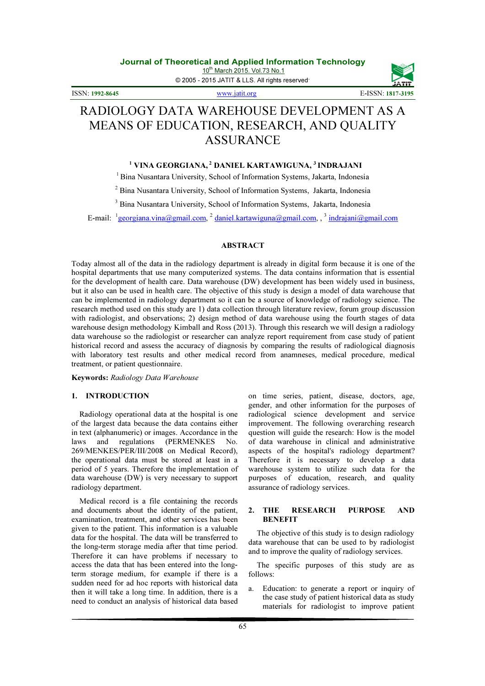© 2005 - 2015 JATIT & LLS. All rights reserved.

ISSN: 1992-8645 www.jatit.org E-ISSN: 1817-3195

# RADIOLOGY DATA WAREHOUSE DEVELOPMENT AS A MEANS OF EDUCATION, RESEARCH, AND QUALITY ASSURANCE

## $^1$  VINA GEORGIANA, $^2$  DANIEL KARTAWIGUNA,  $^3$  INDRAJANI

<sup>1</sup> Bina Nusantara University, School of Information Systems, Jakarta, Indonesia

<sup>2</sup> Bina Nusantara University, School of Information Systems, Jakarta, Indonesia

<sup>3</sup> Bina Nusantara University, School of Information Systems, Jakarta, Indonesia

E-mail: <sup>1</sup>georgiana.vina@gmail.com, <sup>2</sup> daniel.kartawiguna@gmail.com,, <sup>3</sup> indrajani@gmail.com

## ABSTRACT

Today almost all of the data in the radiology department is already in digital form because it is one of the hospital departments that use many computerized systems. The data contains information that is essential for the development of health care. Data warehouse (DW) development has been widely used in business, but it also can be used in health care. The objective of this study is design a model of data warehouse that can be implemented in radiology department so it can be a source of knowledge of radiology science. The research method used on this study are 1) data collection through literature review, forum group discussion with radiologist, and observations; 2) design method of data warehouse using the fourth stages of data warehouse design methodology Kimball and Ross (2013). Through this research we will design a radiology data warehouse so the radiologist or researcher can analyze report requirement from case study of patient historical record and assess the accuracy of diagnosis by comparing the results of radiological diagnosis with laboratory test results and other medical record from anamneses, medical procedure, medical treatment, or patient questionnaire.

#### Keywords: Radiology Data Warehouse

## 1. INTRODUCTION

Radiology operational data at the hospital is one of the largest data because the data contains either in text (alphanumeric) or images. Accordance in the laws and regulations (PERMENKES No. laws and regulations (PERMENKES No. 269/MENKES/PER/III/2008 on Medical Record), the operational data must be stored at least in a period of 5 years. Therefore the implementation of data warehouse (DW) is very necessary to support radiology department.

Medical record is a file containing the records and documents about the identity of the patient, examination, treatment, and other services has been given to the patient. This information is a valuable data for the hospital. The data will be transferred to the long-term storage media after that time period. Therefore it can have problems if necessary to access the data that has been entered into the longterm storage medium, for example if there is a sudden need for ad hoc reports with historical data then it will take a long time. In addition, there is a need to conduct an analysis of historical data based on time series, patient, disease, doctors, age, gender, and other information for the purposes of radiological science development and service improvement. The following overarching research question will guide the research: How is the model of data warehouse in clinical and administrative aspects of the hospital's radiology department? Therefore it is necessary to develop a data warehouse system to utilize such data for the purposes of education, research, and quality assurance of radiology services.

### 2. THE RESEARCH PURPOSE AND BENEFIT

The objective of this study is to design radiology data warehouse that can be used to by radiologist and to improve the quality of radiology services.

The specific purposes of this study are as follows:

a. Education: to generate a report or inquiry of the case study of patient historical data as study materials for radiologist to improve patient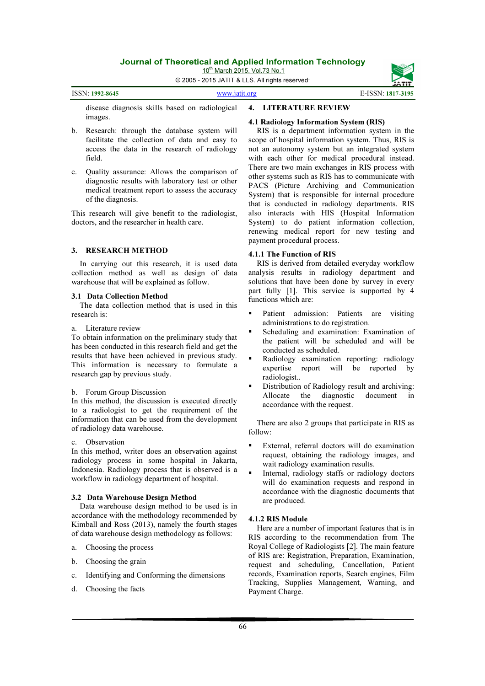10<sup>th</sup> March 2015. Vol.73 No.1

© 2005 - 2015 JATIT & LLS. All rights reserved.

| ISSN: 1992-8645 | www.jatit.org | E-ISSN: 1817-3195 |
|-----------------|---------------|-------------------|
|                 |               |                   |

disease diagnosis skills based on radiological images.

- b. Research: through the database system will facilitate the collection of data and easy to access the data in the research of radiology field.
- c. Quality assurance: Allows the comparison of diagnostic results with laboratory test or other medical treatment report to assess the accuracy of the diagnosis.

This research will give benefit to the radiologist, doctors, and the researcher in health care.

#### 3. RESEARCH METHOD

In carrying out this research, it is used data collection method as well as design of data warehouse that will be explained as follow.

#### 3.1 Data Collection Method

The data collection method that is used in this research is:

#### a. Literature review

To obtain information on the preliminary study that has been conducted in this research field and get the results that have been achieved in previous study. This information is necessary to formulate a research gap by previous study.

#### b. Forum Group Discussion

In this method, the discussion is executed directly to a radiologist to get the requirement of the information that can be used from the development of radiology data warehouse.

### c. Observation

In this method, writer does an observation against radiology process in some hospital in Jakarta, Indonesia. Radiology process that is observed is a workflow in radiology department of hospital.

#### 3.2 Data Warehouse Design Method

Data warehouse design method to be used is in accordance with the methodology recommended by Kimball and Ross (2013), namely the fourth stages of data warehouse design methodology as follows:

- a. Choosing the process
- b. Choosing the grain
- c. Identifying and Conforming the dimensions
- d. Choosing the facts

## 4. LITERATURE REVIEW

### 4.1 Radiology Information System (RIS)

RIS is a department information system in the scope of hospital information system. Thus, RIS is not an autonomy system but an integrated system with each other for medical procedural instead. There are two main exchanges in RIS process with other systems such as RIS has to communicate with PACS (Picture Archiving and Communication System) that is responsible for internal procedure that is conducted in radiology departments. RIS also interacts with HIS (Hospital Information System) to do patient information collection, renewing medical report for new testing and payment procedural process.

#### 4.1.1 The Function of RIS

RIS is derived from detailed everyday workflow analysis results in radiology department and solutions that have been done by survey in every part fully [1]. This service is supported by 4 functions which are:

- Patient admission: Patients are visiting administrations to do registration.
- Scheduling and examination: Examination of the patient will be scheduled and will be conducted as scheduled.
- Radiology examination reporting: radiology expertise report will be reported by radiologist..
- Distribution of Radiology result and archiving:<br>Allocate the diagnostic document in Allocate the diagnostic document in accordance with the request.

There are also 2 groups that participate in RIS as follow:

- External, referral doctors will do examination request, obtaining the radiology images, and wait radiology examination results.
- **Internal, radiology staffs or radiology doctors** will do examination requests and respond in accordance with the diagnostic documents that are produced.

#### 4.1.2 RIS Module

Here are a number of important features that is in RIS according to the recommendation from The Royal College of Radiologists [2]. The main feature of RIS are: Registration, Preparation, Examination, request and scheduling, Cancellation, Patient records, Examination reports, Search engines, Film Tracking, Supplies Management, Warning, and Payment Charge.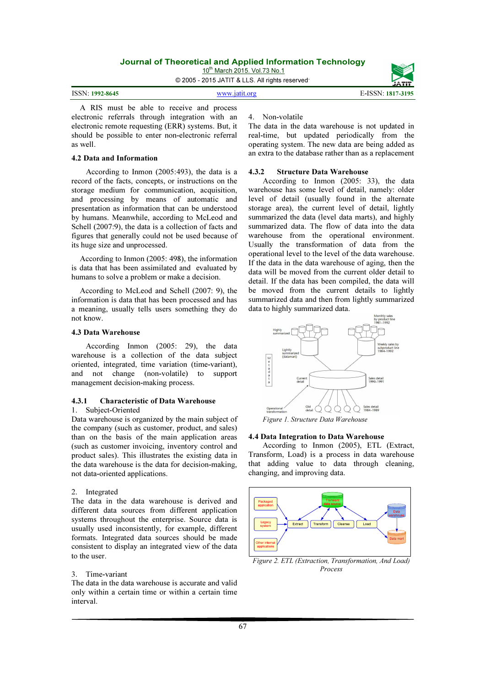10<sup>th</sup> March 2015. Vol.73 No.1

© 2005 - 2015 JATIT & LLS. All rights reserved.

A RIS must be able to receive and process electronic referrals through integration with an electronic remote requesting (ERR) systems. But, it should be possible to enter non-electronic referral as well.

## 4.2 Data and Information

 According to Inmon (2005:493), the data is a record of the facts, concepts, or instructions on the storage medium for communication, acquisition, and processing by means of automatic and presentation as information that can be understood by humans. Meanwhile, according to McLeod and Schell (2007:9), the data is a collection of facts and figures that generally could not be used because of its huge size and unprocessed.

According to Inmon (2005: 498), the information is data that has been assimilated and evaluated by humans to solve a problem or make a decision.

According to McLeod and Schell (2007: 9), the information is data that has been processed and has a meaning, usually tells users something they do not know.

#### 4.3 Data Warehouse

According Inmon (2005: 29), the data warehouse is a collection of the data subject oriented, integrated, time variation (time-variant), and not change (non-volatile) to support management decision-making process.

#### 4.3.1 Characteristic of Data Warehouse 1. Subject-Oriented

Data warehouse is organized by the main subject of the company (such as customer, product, and sales) than on the basis of the main application areas (such as customer invoicing, inventory control and product sales). This illustrates the existing data in the data warehouse is the data for decision-making, not data-oriented applications.

#### 2. Integrated

The data in the data warehouse is derived and different data sources from different application systems throughout the enterprise. Source data is usually used inconsistently, for example, different formats. Integrated data sources should be made consistent to display an integrated view of the data to the user.

### 3. Time-variant

The data in the data warehouse is accurate and valid only within a certain time or within a certain time interval.

#### 4. Non-volatile

The data in the data warehouse is not updated in real-time, but updated periodically from the operating system. The new data are being added as an extra to the database rather than as a replacement

#### 4.3.2 Structure Data Warehouse

According to Inmon (2005: 33), the data warehouse has some level of detail, namely: older level of detail (usually found in the alternate storage area), the current level of detail, lightly summarized the data (level data marts), and highly summarized data. The flow of data into the data warehouse from the operational environment. Usually the transformation of data from the operational level to the level of the data warehouse. If the data in the data warehouse of aging, then the data will be moved from the current older detail to detail. If the data has been compiled, the data will be moved from the current details to lightly summarized data and then from lightly summarized data to highly summarized data.



#### 4.4 Data Integration to Data Warehouse

 According to Inmon (2005), ETL (Extract, Transform, Load) is a process in data warehouse that adding value to data through cleaning, changing, and improving data.



Figure 2. ETL (Extraction, Transformation, And Load) Process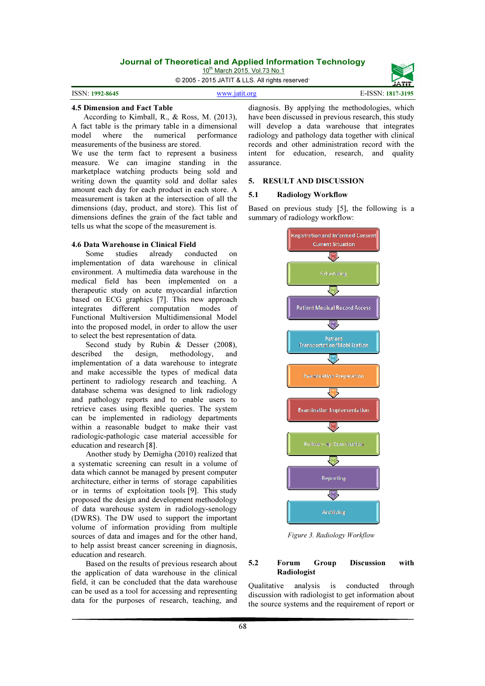10<sup>th</sup> March 2015. Vol.73 No.1

© 2005 - 2015 JATIT & LLS. All rights reserved.



#### 4.5 Dimension and Fact Table

 According to Kimball, R., & Ross, M. (2013), A fact table is the primary table in a dimensional model where the numerical performance measurements of the business are stored.

We use the term fact to represent a business measure. We can imagine standing in the marketplace watching products being sold and writing down the quantity sold and dollar sales amount each day for each product in each store. A measurement is taken at the intersection of all the dimensions (day, product, and store). This list of dimensions defines the grain of the fact table and tells us what the scope of the measurement is.

# **4.6 Data Warehouse in Clinical Field<br>Some studies already con-**

conducted on implementation of data warehouse in clinical environment. A multimedia data warehouse in the medical field has been implemented on a therapeutic study on acute myocardial infarction based on ECG graphics [7]. This new approach integrates different computation modes of Functional Multiversion Multidimensional Model into the proposed model, in order to allow the user to select the best representation of data.

Second study by Rubin & Desser (2008), described the design, methodology, and implementation of a data warehouse to integrate and make accessible the types of medical data pertinent to radiology research and teaching. A database schema was designed to link radiology and pathology reports and to enable users to retrieve cases using flexible queries. The system can be implemented in radiology departments within a reasonable budget to make their vast radiologic-pathologic case material accessible for education and research [8].

Another study by Demigha (2010) realized that a systematic screening can result in a volume of data which cannot be managed by present computer architecture, either in terms of storage capabilities or in terms of exploitation tools [9]. This study proposed the design and development methodology of data warehouse system in radiology-senology (DWRS). The DW used to support the important volume of information providing from multiple sources of data and images and for the other hand, to help assist breast cancer screening in diagnosis, education and research.

Based on the results of previous research about the application of data warehouse in the clinical field, it can be concluded that the data warehouse can be used as a tool for accessing and representing data for the purposes of research, teaching, and

diagnosis. By applying the methodologies, which have been discussed in previous research, this study will develop a data warehouse that integrates radiology and pathology data together with clinical records and other administration record with the intent for education, research, and quality assurance.

#### 5. RESULT AND DISCUSSION

#### 5.1 Radiology Workflow

Based on previous study [5], the following is a summary of radiology workflow:



Figure 3. Radiology Workflow

#### 5.2 Forum Group Discussion with Radiologist

Qualitative analysis is conducted through discussion with radiologist to get information about the source systems and the requirement of report or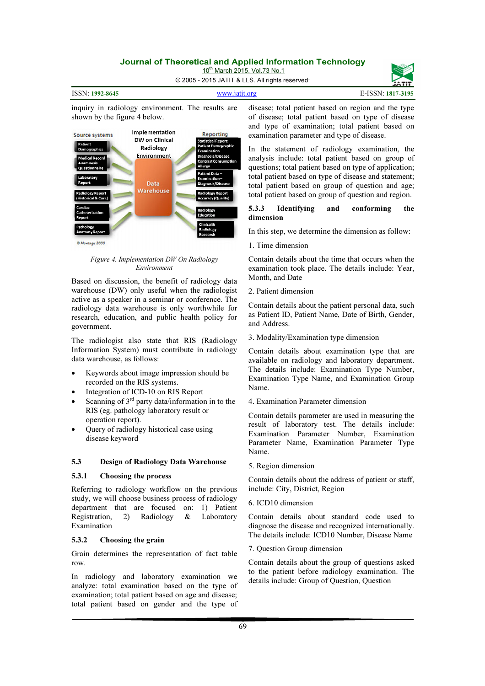10<sup>th</sup> March 2015. Vol.73 No.1

© 2005 - 2015 JATIT & LLS. All rights reserved.



inquiry in radiology environment. The results are shown by the figure 4 below.



Figure 4. Implementation DW On Radiology Environment

Based on discussion, the benefit of radiology data warehouse (DW) only useful when the radiologist active as a speaker in a seminar or conference. The radiology data warehouse is only worthwhile for research, education, and public health policy for government.

The radiologist also state that RIS (Radiology Information System) must contribute in radiology data warehouse, as follows:

- Keywords about image impression should be recorded on the RIS systems.
- Integration of ICD-10 on RIS Report
- Scanning of  $3<sup>rd</sup>$  party data/information in to the RIS (eg. pathology laboratory result or operation report).
- Query of radiology historical case using disease keyword

#### 5.3 Design of Radiology Data Warehouse

#### 5.3.1 Choosing the process

Referring to radiology workflow on the previous study, we will choose business process of radiology department that are focused on: 1) Patient Registration, 2) Radiology & Laboratory Examination

#### 5.3.2 Choosing the grain

Grain determines the representation of fact table row.

In radiology and laboratory examination we analyze: total examination based on the type of examination; total patient based on age and disease; total patient based on gender and the type of

disease; total patient based on region and the type of disease; total patient based on type of disease and type of examination; total patient based on examination parameter and type of disease.

In the statement of radiology examination, the analysis include: total patient based on group of questions; total patient based on type of application; total patient based on type of disease and statement; total patient based on group of question and age; total patient based on group of question and region.

#### 5.3.3 Identifying and conforming the dimension

In this step, we determine the dimension as follow:

1. Time dimension

Contain details about the time that occurs when the examination took place. The details include: Year, Month, and Date

2. Patient dimension

Contain details about the patient personal data, such as Patient ID, Patient Name, Date of Birth, Gender, and Address.

3. Modality/Examination type dimension

Contain details about examination type that are available on radiology and laboratory department. The details include: Examination Type Number, Examination Type Name, and Examination Group Name.

4. Examination Parameter dimension

Contain details parameter are used in measuring the result of laboratory test. The details include: Examination Parameter Number, Examination Parameter Name, Examination Parameter Type Name.

5. Region dimension

Contain details about the address of patient or staff, include: City, District, Region

#### 6. ICD10 dimension

Contain details about standard code used to diagnose the disease and recognized internationally. The details include: ICD10 Number, Disease Name

7. Question Group dimension

Contain details about the group of questions asked to the patient before radiology examination. The details include: Group of Question, Question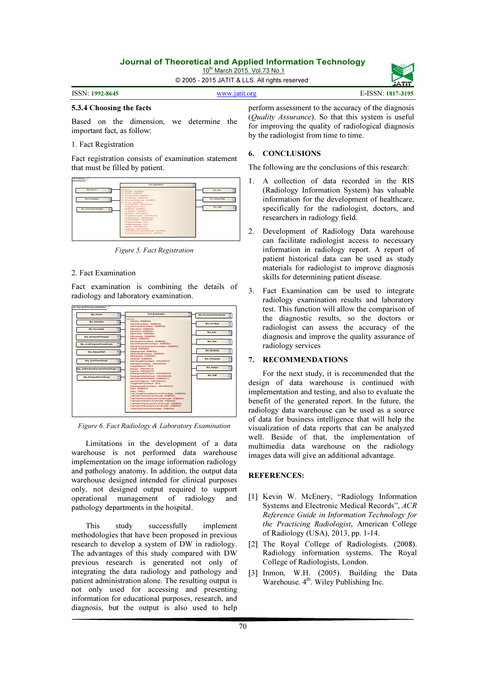10<sup>th</sup> March 2015. Vol.73 No.1

© 2005 - 2015 JATIT & LLS. All rights reserved.

| www.jatit.org | E-ISSN: 1817-3 |
|---------------|----------------|

#### 5.3.4 Choosing the facts

Based on the dimension, we determine the important fact, as follow:

#### 1. Fact Registration

ISSN: 1992-8645

Fact registration consists of examination statement that must be filled by patient.



Figure 5. Fact Registration

### 2. Fact Examination

Fact examination is combining the details of radiology and laboratory examination.



Figure 6. Fact Radiology & Laboratory Examination

Limitations in the development of a data warehouse is not performed data warehouse implementation on the image information radiology and pathology anatomy. In addition, the output data warehouse designed intended for clinical purposes only, not designed output required to support operational management of radiology and pathology departments in the hospital.

This study successfully implement methodologies that have been proposed in previous research to develop a system of DW in radiology. The advantages of this study compared with DW previous research is generated not only of integrating the data radiology and pathology and patient administration alone. The resulting output is not only used for accessing and presenting information for educational purposes, research, and diagnosis, but the output is also used to help

perform assessment to the accuracy of the diagnosis (Quality Assurance). So that this system is useful for improving the quality of radiological diagnosis by the radiologist from time to time.

#### 6. CONCLUSIONS

The following are the conclusions of this research:

- 1. A collection of data recorded in the RIS (Radiology Information System) has valuable information for the development of healthcare, specifically for the radiologist, doctors, and researchers in radiology field.
- 2. Development of Radiology Data warehouse can facilitate radiologist access to necessary information in radiology report. A report of patient historical data can be used as study materials for radiologist to improve diagnosis skills for determining patient disease.
- 3. Fact Examination can be used to integrate radiology examination results and laboratory test. This function will allow the comparison of the diagnostic results, so the doctors or radiologist can assess the accuracy of the diagnosis and improve the quality assurance of radiology services

#### 7. RECOMMENDATIONS

For the next study, it is recommended that the design of data warehouse is continued with implementation and testing, and also to evaluate the benefit of the generated report. In the future, the radiology data warehouse can be used as a source of data for business intelligence that will help the visualization of data reports that can be analyzed well. Beside of that, the implementation of multimedia data warehouse on the radiology images data will give an additional advantage.

#### REFERENCES:

- [1] Kevin W. McEnery, "Radiology Information Systems and Electronic Medical Records", ACR Reference Guide in Information Technology for the Practicing Radiologist, American College of Radiology (USA), 2013, pp. 1-14.
- [2] The Royal College of Radiologists. (2008). Radiology information systems. The Royal College of Radiologists, London.
- [3] Inmon, W.H. (2005). Building the Data Warehouse.  $4^{\text{th}}$ . Wiley Publishing Inc.